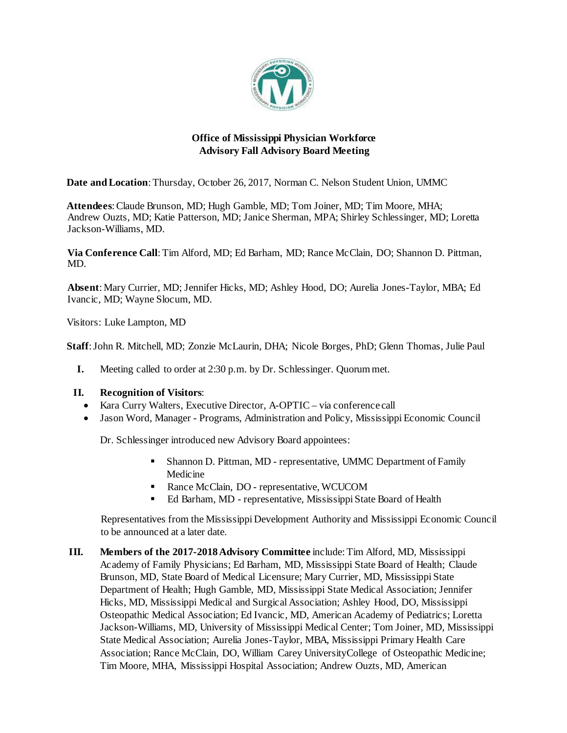

# **Office of Mississippi Physician Workforce Advisory Fall Advisory Board Meeting**

**Date and Location**: Thursday, October 26, 2017, Norman C. Nelson Student Union, UMMC

**Attendees**: Claude Brunson, MD; Hugh Gamble, MD; Tom Joiner, MD; Tim Moore, MHA; Andrew Ouzts, MD; Katie Patterson, MD; Janice Sherman, MPA; Shirley Schlessinger, MD; Loretta Jackson-Williams, MD.

**Via Conference Call**: Tim Alford, MD; Ed Barham, MD; Rance McClain, DO; Shannon D. Pittman, MD.

**Absent**: Mary Currier, MD; Jennifer Hicks, MD; Ashley Hood, DO; Aurelia Jones-Taylor, MBA; Ed Ivancic, MD; Wayne Slocum, MD.

Visitors: Luke Lampton, MD

**Staff**: John R. Mitchell, MD; Zonzie McLaurin, DHA; Nicole Borges, PhD; Glenn Thomas, Julie Paul

**I.** Meeting called to order at 2:30 p.m. by Dr. Schlessinger. Quorummet.

## **II. Recognition of Visitors**:

- Kara Curry Walters, Executive Director, A-OPTIC via conference call
- Jason Word, Manager Programs, Administration and Policy, Mississippi Economic Council

Dr. Schlessinger introduced new Advisory Board appointees:

- Shannon D. Pittman, MD representative, UMMC Department of Family Medicine
- Rance McClain, DO representative, WCUCOM
- Ed Barham, MD representative, Mississippi State Board of Health

Representatives from the Mississippi Development Authority and Mississippi Economic Council to be announced at a later date.

**III. Members of the 2017-2018 Advisory Committee** include: Tim Alford, MD, Mississippi Academy of Family Physicians; Ed Barham, MD, Mississippi State Board of Health; Claude Brunson, MD, State Board of Medical Licensure; Mary Currier, MD, Mississippi State Department of Health; Hugh Gamble, MD, Mississippi State Medical Association; Jennifer Hicks, MD, Mississippi Medical and Surgical Association; Ashley Hood, DO, Mississippi Osteopathic Medical Association; Ed Ivancic, MD, American Academy of Pediatrics; Loretta Jackson-Williams, MD, University of Mississippi Medical Center; Tom Joiner, MD, Mississippi State Medical Association; Aurelia Jones-Taylor, MBA, Mississippi Primary Health Care Association; Rance McClain, DO, William Carey UniversityCollege of Osteopathic Medicine; Tim Moore, MHA, Mississippi Hospital Association; Andrew Ouzts, MD, American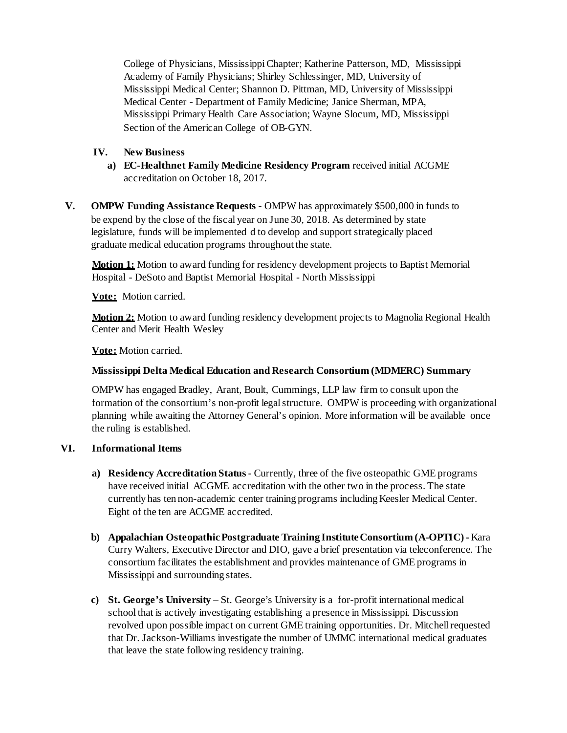College of Physicians, Mississippi Chapter; Katherine Patterson, MD, Mississippi Academy of Family Physicians; Shirley Schlessinger, MD, University of Mississippi Medical Center; Shannon D. Pittman, MD, University of Mississippi Medical Center - Department of Family Medicine; Janice Sherman, MPA, Mississippi Primary Health Care Association; Wayne Slocum, MD, Mississippi Section of the American College of OB-GYN.

## **IV. New Business**

- **a) EC-Healthnet Family Medicine Residency Program** received initial ACGME accreditation on October 18, 2017.
- **V. OMPW Funding Assistance Requests -** OMPW has approximately \$500,000 in funds to be expend by the close of the fiscal year on June 30, 2018. As determined by state legislature, funds will be implemented d to develop and support strategically placed graduate medical education programs throughout the state.

**Motion 1:** Motion to award funding for residency development projects to Baptist Memorial Hospital - DeSoto and Baptist Memorial Hospital - North Mississippi

**Vote:** Motion carried.

**Motion 2:** Motion to award funding residency development projects to Magnolia Regional Health Center and Merit Health Wesley

**Vote:** Motion carried.

#### **Mississippi Delta Medical Education and Research Consortium (MDMERC) Summary**

OMPW has engaged Bradley, Arant, Boult, Cummings, LLP law firm to consult upon the formation of the consortium's non-profit legal structure. OMPW is proceeding with organizational planning while awaiting the Attorney General's opinion. More information will be available once the ruling is established.

## **VI. Informational Items**

- **a) Residency Accreditation Status**  Currently, three of the five osteopathic GME programs have received initial ACGME accreditation with the other two in the process. The state currently has ten non-academic center training programs including Keesler Medical Center. Eight of the ten are ACGME accredited.
- **b) Appalachian OsteopathicPostgraduate Training InstituteConsortium (A-OPTIC) -** Kara Curry Walters, Executive Director and DIO, gave a brief presentation via teleconference. The consortium facilitates the establishment and provides maintenance of GME programs in Mississippi and surrounding states.
- **c) [St. George's University](http://degrees.sgu.edu/us/md-2?&utm_source=bing&utm_medium=cpc&utm_campaign=Brand%2B-%2BUnited%2BStates%2B-%2BSouth%2B-%2BExact&utm_content=Brand%2B-%2BGeneral&utm_term=st%2Bgeorge%2Buniversity&gclid=CIHH5piIoNcCFQPiDQodykoA1Q&gclsrc=ds)** St. George's University is a for-profit international medical school that is actively investigating establishing a presence in Mississippi. Discussion revolved upon possible impact on current GME training opportunities. Dr. Mitchell requested that Dr. Jackson-Williams investigate the number of UMMC international medical graduates that leave the state following residency training.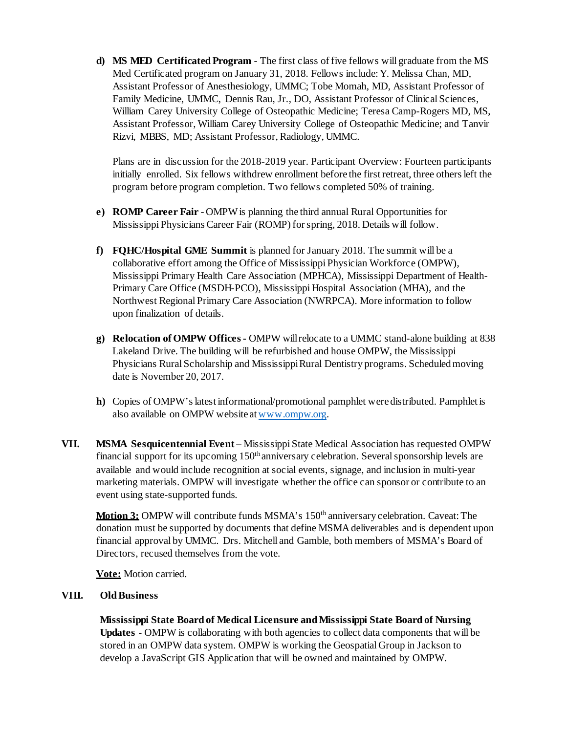**d) MS MED Certificated Program** - The first class of five fellows will graduate from the MS Med Certificated program on January 31, 2018. Fellows include: Y. Melissa Chan, MD, Assistant Professor of Anesthesiology, UMMC; Tobe Momah, MD, Assistant Professor of Family Medicine, UMMC, Dennis Rau, Jr., DO, Assistant Professor of Clinical Sciences, William Carey University College of Osteopathic Medicine; Teresa Camp-Rogers MD, MS, Assistant Professor, William Carey University College of Osteopathic Medicine; and Tanvir Rizvi, MBBS, MD; Assistant Professor, Radiology, UMMC.

Plans are in discussion for the 2018-2019 year. Participant Overview: Fourteen participants initially enrolled. Six fellows withdrew enrollment before the first retreat, three others left the program before program completion. Two fellows completed 50% of training.

- **e) ROMP Career Fair** OMPWis planning the third annual Rural Opportunities for Mississippi Physicians Career Fair (ROMP) forspring, 2018. Details will follow.
- **f) FQHC/Hospital GME Summit** is planned for January 2018. The summit will be a collaborative effort among the Office of Mississippi Physician Workforce (OMPW), Mississippi Primary Health Care Association (MPHCA), Mississippi Department of Health-Primary Care Office (MSDH-PCO), Mississippi Hospital Association (MHA), and the Northwest Regional Primary Care Association (NWRPCA). More information to follow upon finalization of details.
- **g) Relocation of OMPW Offices-** OMPW willrelocate to a UMMC stand-alone building at 838 Lakeland Drive. The building will be refurbished and house OMPW, the Mississippi Physicians Rural Scholarship and MississippiRural Dentistry programs. Scheduledmoving date is November 20, 2017.
- **h)** Copies of OMPW'slatest informational/promotional pamphlet were distributed. Pamphlet is also available on OMPW website at [www.ompw.org.](http://www.ompw.org/)
- **VII.** MSMA Sesquicentennial Event Mississippi State Medical Association has requested OMPW financial support for its upcoming  $150<sup>th</sup>$  anniversary celebration. Several sponsorship levels are available and would include recognition at social events, signage, and inclusion in multi-year marketing materials. OMPW will investigate whether the office can sponsor or contribute to an event using state-supported funds.

**Motion 3:** OMPW will contribute funds MSMA's 150th anniversary celebration. Caveat: The donation must be supported by documents that define MSMA deliverables and is dependent upon financial approval by UMMC. Drs. Mitchell and Gamble, both members of MSMA's Board of Directors, recused themselves from the vote.

**Vote:** Motion carried.

## **VIII. OldBusiness**

**Mississippi State Board of Medical Licensure and Mississippi State Board of Nursing Updates -** OMPW is collaborating with both agencies to collect data components that will be stored in an OMPW data system. OMPW is working the Geospatial Group in Jackson to develop a JavaScript GIS Application that will be owned and maintained by OMPW.